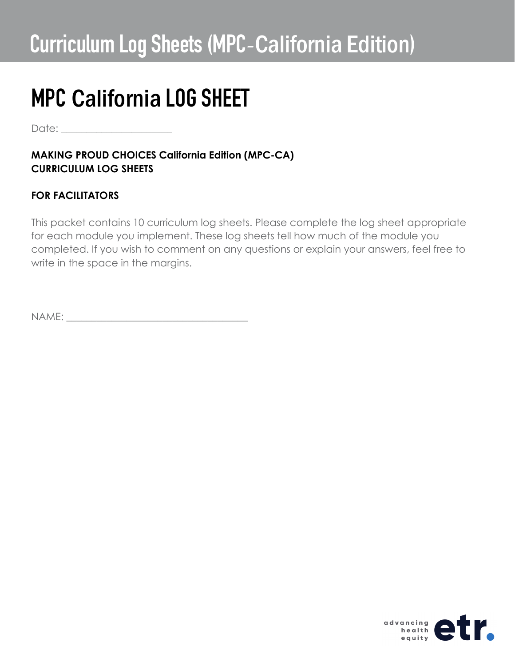Date:  $\Box$ 

### **MAKING PROUD CHOICES California Edition (MPC-CA) CURRICULUM LOG SHEETS**

## **FOR FACILITATORS**

This packet contains 10 curriculum log sheets. Please complete the log sheet appropriate for each module you implement. These log sheets tell how much of the module you completed. If you wish to comment on any questions or explain your answers, feel free to write in the space in the margins.

NAME: \_\_\_\_\_\_\_\_\_\_\_\_\_\_\_\_\_\_\_\_\_\_\_\_\_\_\_\_\_\_\_\_\_\_\_\_

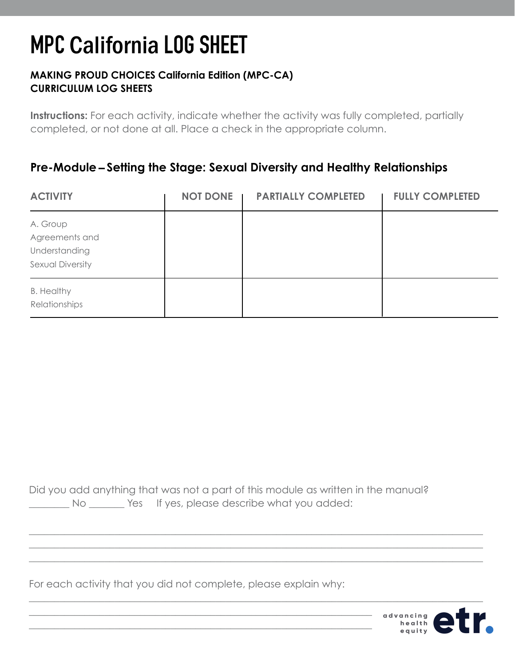### **MAKING PROUD CHOICES California Edition (MPC-CA) CURRICULUM LOG SHEETS**

**Instructions:** For each activity, indicate whether the activity was fully completed, partially completed, or not done at all. Place a check in the appropriate column.

## **Pre-Module** – **Setting the Stage: Sexual Diversity and Healthy Relationships**

| <b>ACTIVITY</b>                                                 | <b>NOT DONE</b> | <b>PARTIALLY COMPLETED</b> | <b>FULLY COMPLETED</b> |
|-----------------------------------------------------------------|-----------------|----------------------------|------------------------|
| A. Group<br>Agreements and<br>Understanding<br>Sexual Diversity |                 |                            |                        |
| <b>B. Healthy</b><br>Relationships                              |                 |                            |                        |

Did you add anything that was not a part of this module as written in the manual? No No Wes If yes, please describe what you added:

\_\_\_\_\_\_\_\_\_\_\_\_\_\_\_\_\_\_\_\_\_\_\_\_\_\_\_\_\_\_\_\_\_\_\_\_\_\_\_\_\_\_\_\_\_\_\_\_\_\_\_\_\_\_\_\_\_\_\_\_\_\_\_\_\_\_\_\_\_\_\_\_\_\_\_\_\_\_\_\_\_\_\_\_\_\_\_\_\_\_ \_\_\_\_\_\_\_\_\_\_\_\_\_\_\_\_\_\_\_\_\_\_\_\_\_\_\_\_\_\_\_\_\_\_\_\_\_\_\_\_\_\_\_\_\_\_\_\_\_\_\_\_\_\_\_\_\_\_\_\_\_\_\_\_\_\_\_\_\_\_\_\_\_\_\_\_\_\_\_\_\_\_\_\_\_\_\_\_\_\_ \_\_\_\_\_\_\_\_\_\_\_\_\_\_\_\_\_\_\_\_\_\_\_\_\_\_\_\_\_\_\_\_\_\_\_\_\_\_\_\_\_\_\_\_\_\_\_\_\_\_\_\_\_\_\_\_\_\_\_\_\_\_\_\_\_\_\_\_\_\_\_\_\_\_\_\_\_\_\_\_\_\_\_\_\_\_\_\_\_\_

 $\_$  , and the set of the set of the set of the set of the set of the set of the set of the set of the set of the set of the set of the set of the set of the set of the set of the set of the set of the set of the set of th

For each activity that you did not complete, please explain why:

\_\_\_\_\_\_\_\_\_\_\_\_\_\_\_\_\_\_\_\_\_\_\_\_\_\_\_\_\_\_\_\_\_\_\_\_\_\_\_\_\_\_\_\_\_\_\_\_\_\_\_\_\_\_\_\_\_\_\_\_\_\_\_\_\_\_\_\_  $\_$  , and the contribution of the contribution of  $\mathcal{L}_\mathcal{A}$  , and the contribution of  $\mathcal{L}_\mathcal{A}$ 

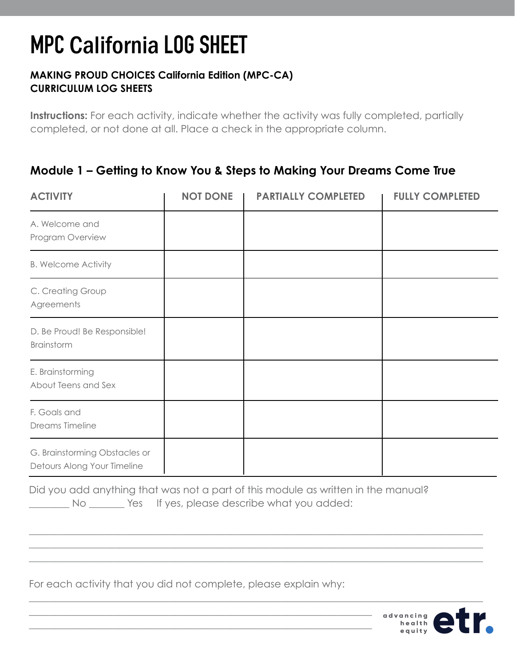### **MAKING PROUD CHOICES California Edition (MPC-CA) CURRICULUM LOG SHEETS**

**Instructions:** For each activity, indicate whether the activity was fully completed, partially completed, or not done at all. Place a check in the appropriate column.

## **Module 1 – Getting to Know You & Steps to Making Your Dreams Come True**

| <b>ACTIVITY</b>                                              | <b>NOT DONE</b> | <b>PARTIALLY COMPLETED</b> | <b>FULLY COMPLETED</b> |
|--------------------------------------------------------------|-----------------|----------------------------|------------------------|
| A. Welcome and<br>Program Overview                           |                 |                            |                        |
| <b>B. Welcome Activity</b>                                   |                 |                            |                        |
| C. Creating Group<br>Agreements                              |                 |                            |                        |
| D. Be Proud! Be Responsible!<br>Brainstorm                   |                 |                            |                        |
| E. Brainstorming<br>About Teens and Sex                      |                 |                            |                        |
| F. Goals and<br>Dreams Timeline                              |                 |                            |                        |
| G. Brainstorming Obstacles or<br>Detours Along Your Timeline |                 |                            |                        |

Did you add anything that was not a part of this module as written in the manual? No No Wes If yes, please describe what you added:

\_\_\_\_\_\_\_\_\_\_\_\_\_\_\_\_\_\_\_\_\_\_\_\_\_\_\_\_\_\_\_\_\_\_\_\_\_\_\_\_\_\_\_\_\_\_\_\_\_\_\_\_\_\_\_\_\_\_\_\_\_\_\_\_\_\_\_\_\_\_\_\_\_\_\_\_\_\_\_\_\_\_\_\_\_\_\_\_\_\_ \_\_\_\_\_\_\_\_\_\_\_\_\_\_\_\_\_\_\_\_\_\_\_\_\_\_\_\_\_\_\_\_\_\_\_\_\_\_\_\_\_\_\_\_\_\_\_\_\_\_\_\_\_\_\_\_\_\_\_\_\_\_\_\_\_\_\_\_\_\_\_\_\_\_\_\_\_\_\_\_\_\_\_\_\_\_\_\_\_\_ \_\_\_\_\_\_\_\_\_\_\_\_\_\_\_\_\_\_\_\_\_\_\_\_\_\_\_\_\_\_\_\_\_\_\_\_\_\_\_\_\_\_\_\_\_\_\_\_\_\_\_\_\_\_\_\_\_\_\_\_\_\_\_\_\_\_\_\_\_\_\_\_\_\_\_\_\_\_\_\_\_\_\_\_\_\_\_\_\_\_

 $\_$  , and the set of the set of the set of the set of the set of the set of the set of the set of the set of the set of the set of the set of the set of the set of the set of the set of the set of the set of the set of th

For each activity that you did not complete, please explain why:

\_\_\_\_\_\_\_\_\_\_\_\_\_\_\_\_\_\_\_\_\_\_\_\_\_\_\_\_\_\_\_\_\_\_\_\_\_\_\_\_\_\_\_\_\_\_\_\_\_\_\_\_\_\_\_\_\_\_\_\_\_\_\_\_\_\_\_\_  $\_$  , and the contribution of the contribution of  $\mathcal{L}_\mathcal{A}$  , and the contribution of  $\mathcal{L}_\mathcal{A}$ 

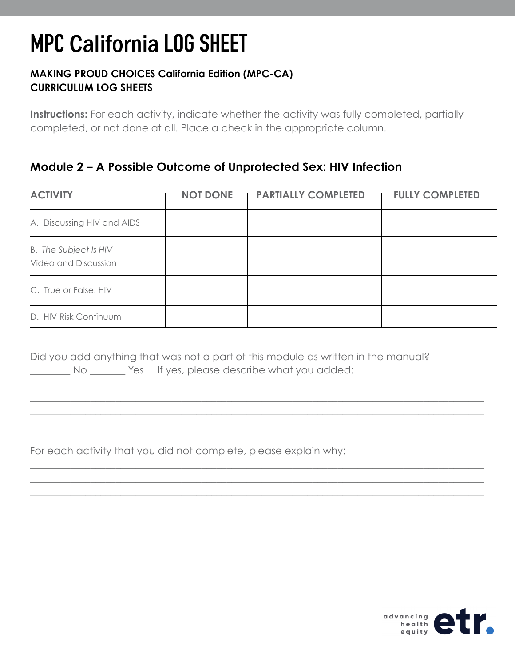### **MAKING PROUD CHOICES California Edition (MPC-CA) CURRICULUM LOG SHEETS**

**Instructions:** For each activity, indicate whether the activity was fully completed, partially completed, or not done at all. Place a check in the appropriate column.

## **Module 2 – A Possible Outcome of Unprotected Sex: HIV Infection**

| <b>ACTIVITY</b>                                      | <b>NOT DONE</b> | <b>PARTIALLY COMPLETED</b> | <b>FULLY COMPLETED</b> |
|------------------------------------------------------|-----------------|----------------------------|------------------------|
| A. Discussing HIV and AIDS                           |                 |                            |                        |
| <b>B.</b> The Subject Is HIV<br>Video and Discussion |                 |                            |                        |
| C. True or False: HIV                                |                 |                            |                        |
| D. HIV Risk Continuum                                |                 |                            |                        |

\_\_\_\_\_\_\_\_\_\_\_\_\_\_\_\_\_\_\_\_\_\_\_\_\_\_\_\_\_\_\_\_\_\_\_\_\_\_\_\_\_\_\_\_\_\_\_\_\_\_\_\_\_\_\_\_\_\_\_\_\_\_\_\_\_\_\_\_\_\_\_\_\_\_\_\_\_\_\_\_\_\_\_\_\_\_\_\_\_\_ \_\_\_\_\_\_\_\_\_\_\_\_\_\_\_\_\_\_\_\_\_\_\_\_\_\_\_\_\_\_\_\_\_\_\_\_\_\_\_\_\_\_\_\_\_\_\_\_\_\_\_\_\_\_\_\_\_\_\_\_\_\_\_\_\_\_\_\_\_\_\_\_\_\_\_\_\_\_\_\_\_\_\_\_\_\_\_\_\_\_ \_\_\_\_\_\_\_\_\_\_\_\_\_\_\_\_\_\_\_\_\_\_\_\_\_\_\_\_\_\_\_\_\_\_\_\_\_\_\_\_\_\_\_\_\_\_\_\_\_\_\_\_\_\_\_\_\_\_\_\_\_\_\_\_\_\_\_\_\_\_\_\_\_\_\_\_\_\_\_\_\_\_\_\_\_\_\_\_\_\_

\_\_\_\_\_\_\_\_\_\_\_\_\_\_\_\_\_\_\_\_\_\_\_\_\_\_\_\_\_\_\_\_\_\_\_\_\_\_\_\_\_\_\_\_\_\_\_\_\_\_\_\_\_\_\_\_\_\_\_\_\_\_\_\_\_\_\_\_\_\_\_\_\_\_\_\_\_\_\_\_\_\_\_\_\_\_\_\_\_\_ \_\_\_\_\_\_\_\_\_\_\_\_\_\_\_\_\_\_\_\_\_\_\_\_\_\_\_\_\_\_\_\_\_\_\_\_\_\_\_\_\_\_\_\_\_\_\_\_\_\_\_\_\_\_\_\_\_\_\_\_\_\_\_\_\_\_\_\_\_\_\_\_\_\_\_\_\_\_\_\_\_\_\_\_\_\_\_\_\_\_ \_\_\_\_\_\_\_\_\_\_\_\_\_\_\_\_\_\_\_\_\_\_\_\_\_\_\_\_\_\_\_\_\_\_\_\_\_\_\_\_\_\_\_\_\_\_\_\_\_\_\_\_\_\_\_\_\_\_\_\_\_\_\_\_\_\_\_\_\_\_\_\_\_\_\_\_\_\_\_\_\_\_\_\_\_\_\_\_\_\_

Did you add anything that was not a part of this module as written in the manual? \_\_\_\_\_\_\_\_ No \_\_\_\_\_\_\_ Yes If yes, please describe what you added:

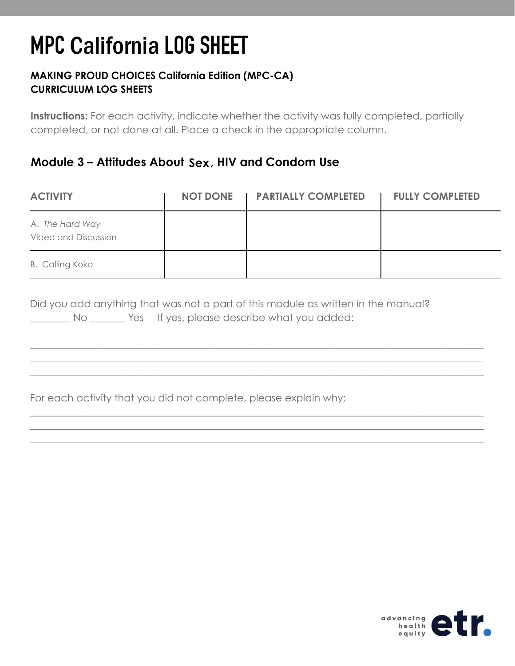### **MAKING PROUD CHOICES California Edition (MPC-CA) CURRICULUM LOG SHEETS**

**Instructions:** For each activity, indicate whether the activity was fully completed, partially completed, or not done at all. Place a check in the appropriate column.

## **Module 3 – Attitudes About Sex, HIV and Condom Use**

| <b>ACTIVITY</b>                                | <b>NOT DONE</b> | <b>I PARTIALLY COMPLETED</b> | <b>FULLY COMPLETED</b> |
|------------------------------------------------|-----------------|------------------------------|------------------------|
| A. The Hard Way<br><b>Video and Discussion</b> |                 |                              |                        |
| <b>B. Calling Koko</b>                         |                 |                              |                        |

\_\_\_\_\_\_\_\_\_\_\_\_\_\_\_\_\_\_\_\_\_\_\_\_\_\_\_\_\_\_\_\_\_\_\_\_\_\_\_\_\_\_\_\_\_\_\_\_\_\_\_\_\_\_\_\_\_\_\_\_\_\_\_\_\_\_\_\_\_\_\_\_\_\_\_\_\_\_\_\_\_\_\_\_\_\_\_\_\_\_ \_\_\_\_\_\_\_\_\_\_\_\_\_\_\_\_\_\_\_\_\_\_\_\_\_\_\_\_\_\_\_\_\_\_\_\_\_\_\_\_\_\_\_\_\_\_\_\_\_\_\_\_\_\_\_\_\_\_\_\_\_\_\_\_\_\_\_\_\_\_\_\_\_\_\_\_\_\_\_\_\_\_\_\_\_\_\_\_\_\_ \_\_\_\_\_\_\_\_\_\_\_\_\_\_\_\_\_\_\_\_\_\_\_\_\_\_\_\_\_\_\_\_\_\_\_\_\_\_\_\_\_\_\_\_\_\_\_\_\_\_\_\_\_\_\_\_\_\_\_\_\_\_\_\_\_\_\_\_\_\_\_\_\_\_\_\_\_\_\_\_\_\_\_\_\_\_\_\_\_\_

\_\_\_\_\_\_\_\_\_\_\_\_\_\_\_\_\_\_\_\_\_\_\_\_\_\_\_\_\_\_\_\_\_\_\_\_\_\_\_\_\_\_\_\_\_\_\_\_\_\_\_\_\_\_\_\_\_\_\_\_\_\_\_\_\_\_\_\_\_\_\_\_\_\_\_\_\_\_\_\_\_\_\_\_\_\_\_\_\_\_ \_\_\_\_\_\_\_\_\_\_\_\_\_\_\_\_\_\_\_\_\_\_\_\_\_\_\_\_\_\_\_\_\_\_\_\_\_\_\_\_\_\_\_\_\_\_\_\_\_\_\_\_\_\_\_\_\_\_\_\_\_\_\_\_\_\_\_\_\_\_\_\_\_\_\_\_\_\_\_\_\_\_\_\_\_\_\_\_\_\_ \_\_\_\_\_\_\_\_\_\_\_\_\_\_\_\_\_\_\_\_\_\_\_\_\_\_\_\_\_\_\_\_\_\_\_\_\_\_\_\_\_\_\_\_\_\_\_\_\_\_\_\_\_\_\_\_\_\_\_\_\_\_\_\_\_\_\_\_\_\_\_\_\_\_\_\_\_\_\_\_\_\_\_\_\_\_\_\_\_\_

|    | Did you add anything that was not a part of this module as written in the manual? |
|----|-----------------------------------------------------------------------------------|
| Νo | Yes If yes, please describe what you added:                                       |

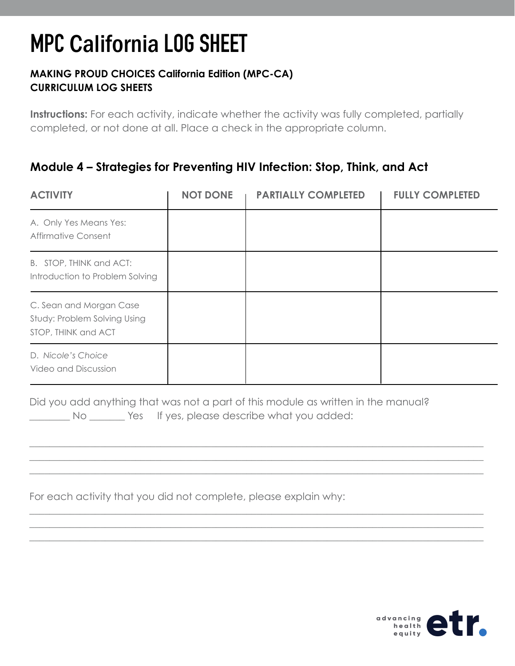### **MAKING PROUD CHOICES California Edition (MPC-CA) CURRICULUM LOG SHEETS**

**Instructions:** For each activity, indicate whether the activity was fully completed, partially completed, or not done at all. Place a check in the appropriate column.

## **Module 4 – Strategies for Preventing HIV Infection: Stop, Think, and Act**

| <b>ACTIVITY</b>                                                                | <b>NOT DONE</b> | <b>PARTIALLY COMPLETED</b> | <b>FULLY COMPLETED</b> |
|--------------------------------------------------------------------------------|-----------------|----------------------------|------------------------|
| A. Only Yes Means Yes:<br><b>Affirmative Consent</b>                           |                 |                            |                        |
| B. STOP, THINK and ACT:<br>Introduction to Problem Solving                     |                 |                            |                        |
| C. Sean and Morgan Case<br>Study: Problem Solving Using<br>STOP, THINK and ACT |                 |                            |                        |
| D. Nicole's Choice<br>Video and Discussion                                     |                 |                            |                        |

Did you add anything that was not a part of this module as written in the manual? No Wester If yes, please describe what you added:

\_\_\_\_\_\_\_\_\_\_\_\_\_\_\_\_\_\_\_\_\_\_\_\_\_\_\_\_\_\_\_\_\_\_\_\_\_\_\_\_\_\_\_\_\_\_\_\_\_\_\_\_\_\_\_\_\_\_\_\_\_\_\_\_\_\_\_\_\_\_\_\_\_\_\_\_\_\_\_\_\_\_\_\_\_\_\_\_\_\_ \_\_\_\_\_\_\_\_\_\_\_\_\_\_\_\_\_\_\_\_\_\_\_\_\_\_\_\_\_\_\_\_\_\_\_\_\_\_\_\_\_\_\_\_\_\_\_\_\_\_\_\_\_\_\_\_\_\_\_\_\_\_\_\_\_\_\_\_\_\_\_\_\_\_\_\_\_\_\_\_\_\_\_\_\_\_\_\_\_\_ \_\_\_\_\_\_\_\_\_\_\_\_\_\_\_\_\_\_\_\_\_\_\_\_\_\_\_\_\_\_\_\_\_\_\_\_\_\_\_\_\_\_\_\_\_\_\_\_\_\_\_\_\_\_\_\_\_\_\_\_\_\_\_\_\_\_\_\_\_\_\_\_\_\_\_\_\_\_\_\_\_\_\_\_\_\_\_\_\_\_

\_\_\_\_\_\_\_\_\_\_\_\_\_\_\_\_\_\_\_\_\_\_\_\_\_\_\_\_\_\_\_\_\_\_\_\_\_\_\_\_\_\_\_\_\_\_\_\_\_\_\_\_\_\_\_\_\_\_\_\_\_\_\_\_\_\_\_\_\_\_\_\_\_\_\_\_\_\_\_\_\_\_\_\_\_\_\_\_\_\_ \_\_\_\_\_\_\_\_\_\_\_\_\_\_\_\_\_\_\_\_\_\_\_\_\_\_\_\_\_\_\_\_\_\_\_\_\_\_\_\_\_\_\_\_\_\_\_\_\_\_\_\_\_\_\_\_\_\_\_\_\_\_\_\_\_\_\_\_\_\_\_\_\_\_\_\_\_\_\_\_\_\_\_\_\_\_\_\_\_\_ \_\_\_\_\_\_\_\_\_\_\_\_\_\_\_\_\_\_\_\_\_\_\_\_\_\_\_\_\_\_\_\_\_\_\_\_\_\_\_\_\_\_\_\_\_\_\_\_\_\_\_\_\_\_\_\_\_\_\_\_\_\_\_\_\_\_\_\_\_\_\_\_\_\_\_\_\_\_\_\_\_\_\_\_\_\_\_\_\_\_

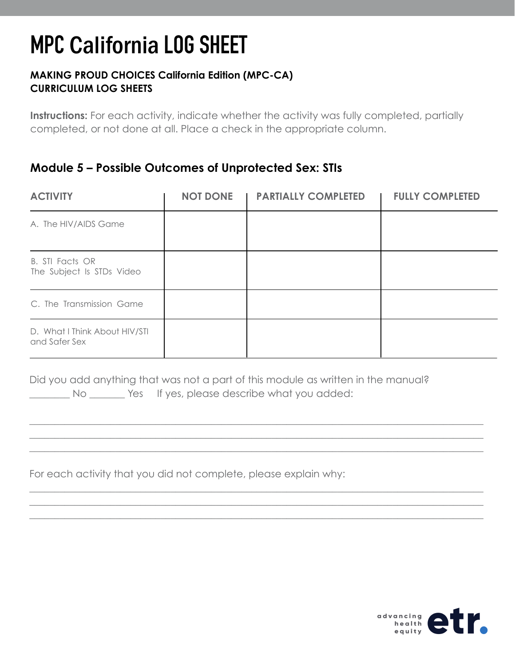#### **MAKING PROUD CHOICES California Edition (MPC-CA) CURRICULUM LOG SHEETS**

**Instructions:** For each activity, indicate whether the activity was fully completed, partially completed, or not done at all. Place a check in the appropriate column.

### **Module 5 – Possible Outcomes of Unprotected Sex: STIs**

| <b>ACTIVITY</b>                                     | <b>NOT DONE</b> | <b>PARTIALLY COMPLETED</b> | <b>FULLY COMPLETED</b> |
|-----------------------------------------------------|-----------------|----------------------------|------------------------|
| A. The HIV/AIDS Game                                |                 |                            |                        |
| <b>B. STI Facts OR</b><br>The Subject Is STDs Video |                 |                            |                        |
| C. The Transmission Game                            |                 |                            |                        |
| D. What I Think About HIV/STI<br>and Safer Sex      |                 |                            |                        |

Did you add anything that was not a part of this module as written in the manual? \_\_\_\_\_\_\_\_ No \_\_\_\_\_\_\_ Yes If yes, please describe what you added:

\_\_\_\_\_\_\_\_\_\_\_\_\_\_\_\_\_\_\_\_\_\_\_\_\_\_\_\_\_\_\_\_\_\_\_\_\_\_\_\_\_\_\_\_\_\_\_\_\_\_\_\_\_\_\_\_\_\_\_\_\_\_\_\_\_\_\_\_\_\_\_\_\_\_\_\_\_\_\_\_\_\_\_\_\_\_\_\_\_\_ \_\_\_\_\_\_\_\_\_\_\_\_\_\_\_\_\_\_\_\_\_\_\_\_\_\_\_\_\_\_\_\_\_\_\_\_\_\_\_\_\_\_\_\_\_\_\_\_\_\_\_\_\_\_\_\_\_\_\_\_\_\_\_\_\_\_\_\_\_\_\_\_\_\_\_\_\_\_\_\_\_\_\_\_\_\_\_\_\_\_ \_\_\_\_\_\_\_\_\_\_\_\_\_\_\_\_\_\_\_\_\_\_\_\_\_\_\_\_\_\_\_\_\_\_\_\_\_\_\_\_\_\_\_\_\_\_\_\_\_\_\_\_\_\_\_\_\_\_\_\_\_\_\_\_\_\_\_\_\_\_\_\_\_\_\_\_\_\_\_\_\_\_\_\_\_\_\_\_\_\_

\_\_\_\_\_\_\_\_\_\_\_\_\_\_\_\_\_\_\_\_\_\_\_\_\_\_\_\_\_\_\_\_\_\_\_\_\_\_\_\_\_\_\_\_\_\_\_\_\_\_\_\_\_\_\_\_\_\_\_\_\_\_\_\_\_\_\_\_\_\_\_\_\_\_\_\_\_\_\_\_\_\_\_\_\_\_\_\_\_\_ \_\_\_\_\_\_\_\_\_\_\_\_\_\_\_\_\_\_\_\_\_\_\_\_\_\_\_\_\_\_\_\_\_\_\_\_\_\_\_\_\_\_\_\_\_\_\_\_\_\_\_\_\_\_\_\_\_\_\_\_\_\_\_\_\_\_\_\_\_\_\_\_\_\_\_\_\_\_\_\_\_\_\_\_\_\_\_\_\_\_ \_\_\_\_\_\_\_\_\_\_\_\_\_\_\_\_\_\_\_\_\_\_\_\_\_\_\_\_\_\_\_\_\_\_\_\_\_\_\_\_\_\_\_\_\_\_\_\_\_\_\_\_\_\_\_\_\_\_\_\_\_\_\_\_\_\_\_\_\_\_\_\_\_\_\_\_\_\_\_\_\_\_\_\_\_\_\_\_\_\_

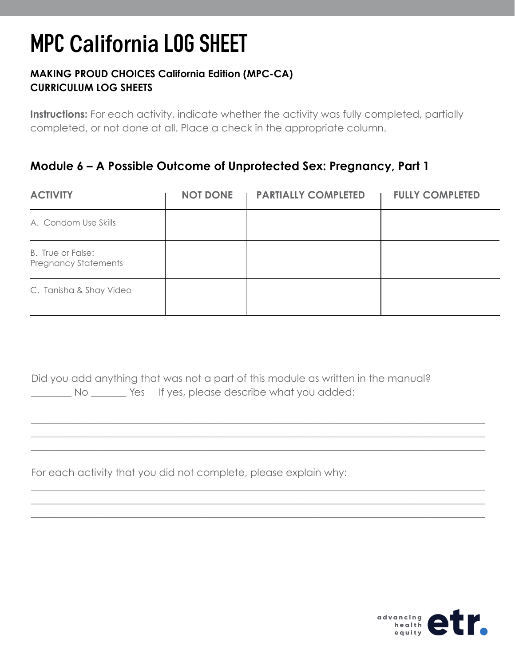### **MAKING PROUD CHOICES California Edition (MPC-CA) CURRICULUM LOG SHEETS**

**Instructions:** For each activity, indicate whether the activity was fully completed, partially completed, or not done at all. Place a check in the appropriate column.

## **Module 6 – A Possible Outcome of Unprotected Sex: Pregnancy, Part 1**

| <b>ACTIVITY</b>                                  | <b>NOT DONE</b> | <b>PARTIALLY COMPLETED</b> | <b>FULLY COMPLETED</b> |
|--------------------------------------------------|-----------------|----------------------------|------------------------|
| A. Condom Use Skills                             |                 |                            |                        |
| B. True or False:<br><b>Pregnancy Statements</b> |                 |                            |                        |
| C. Tanisha & Shay Video                          |                 |                            |                        |

Did you add anything that was not a part of this module as written in the manual? No Wester If yes, please describe what you added:

\_\_\_\_\_\_\_\_\_\_\_\_\_\_\_\_\_\_\_\_\_\_\_\_\_\_\_\_\_\_\_\_\_\_\_\_\_\_\_\_\_\_\_\_\_\_\_\_\_\_\_\_\_\_\_\_\_\_\_\_\_\_\_\_\_\_\_\_\_\_\_\_\_\_\_\_\_\_\_\_\_\_\_\_\_\_\_\_\_\_ \_\_\_\_\_\_\_\_\_\_\_\_\_\_\_\_\_\_\_\_\_\_\_\_\_\_\_\_\_\_\_\_\_\_\_\_\_\_\_\_\_\_\_\_\_\_\_\_\_\_\_\_\_\_\_\_\_\_\_\_\_\_\_\_\_\_\_\_\_\_\_\_\_\_\_\_\_\_\_\_\_\_\_\_\_\_\_\_\_\_ \_\_\_\_\_\_\_\_\_\_\_\_\_\_\_\_\_\_\_\_\_\_\_\_\_\_\_\_\_\_\_\_\_\_\_\_\_\_\_\_\_\_\_\_\_\_\_\_\_\_\_\_\_\_\_\_\_\_\_\_\_\_\_\_\_\_\_\_\_\_\_\_\_\_\_\_\_\_\_\_\_\_\_\_\_\_\_\_\_\_

\_\_\_\_\_\_\_\_\_\_\_\_\_\_\_\_\_\_\_\_\_\_\_\_\_\_\_\_\_\_\_\_\_\_\_\_\_\_\_\_\_\_\_\_\_\_\_\_\_\_\_\_\_\_\_\_\_\_\_\_\_\_\_\_\_\_\_\_\_\_\_\_\_\_\_\_\_\_\_\_\_\_\_\_\_\_\_\_\_\_ \_\_\_\_\_\_\_\_\_\_\_\_\_\_\_\_\_\_\_\_\_\_\_\_\_\_\_\_\_\_\_\_\_\_\_\_\_\_\_\_\_\_\_\_\_\_\_\_\_\_\_\_\_\_\_\_\_\_\_\_\_\_\_\_\_\_\_\_\_\_\_\_\_\_\_\_\_\_\_\_\_\_\_\_\_\_\_\_\_\_ \_\_\_\_\_\_\_\_\_\_\_\_\_\_\_\_\_\_\_\_\_\_\_\_\_\_\_\_\_\_\_\_\_\_\_\_\_\_\_\_\_\_\_\_\_\_\_\_\_\_\_\_\_\_\_\_\_\_\_\_\_\_\_\_\_\_\_\_\_\_\_\_\_\_\_\_\_\_\_\_\_\_\_\_\_\_\_\_\_\_

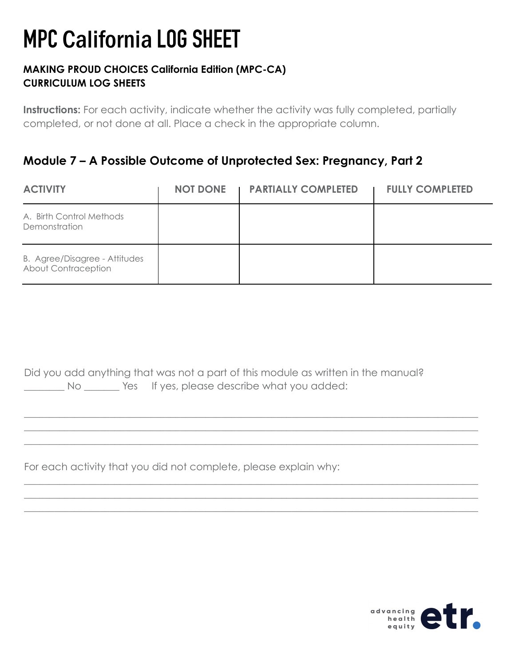#### **MAKING PROUD CHOICES California Edition (MPC-CA) CURRICULUM LOG SHEETS**

**Instructions:** For each activity, indicate whether the activity was fully completed, partially completed, or not done at all. Place a check in the appropriate column.

## **Module 7 – A Possible Outcome of Unprotected Sex: Pregnancy, Part 2**

| <b>ACTIVITY</b>                                      | <b>NOT DONE</b> | <b>I PARTIALLY COMPLETED</b> | <b>FULLY COMPLETED</b> |
|------------------------------------------------------|-----------------|------------------------------|------------------------|
| A. Birth Control Methods<br>Demonstration            |                 |                              |                        |
| B. Agree/Disagree - Attitudes<br>About Contraception |                 |                              |                        |

Did you add anything that was not a part of this module as written in the manual? No Wester If yes, please describe what you added:

\_\_\_\_\_\_\_\_\_\_\_\_\_\_\_\_\_\_\_\_\_\_\_\_\_\_\_\_\_\_\_\_\_\_\_\_\_\_\_\_\_\_\_\_\_\_\_\_\_\_\_\_\_\_\_\_\_\_\_\_\_\_\_\_\_\_\_\_\_\_\_\_\_\_\_\_\_\_\_\_\_\_\_\_\_\_\_\_\_\_ \_\_\_\_\_\_\_\_\_\_\_\_\_\_\_\_\_\_\_\_\_\_\_\_\_\_\_\_\_\_\_\_\_\_\_\_\_\_\_\_\_\_\_\_\_\_\_\_\_\_\_\_\_\_\_\_\_\_\_\_\_\_\_\_\_\_\_\_\_\_\_\_\_\_\_\_\_\_\_\_\_\_\_\_\_\_\_\_\_\_ \_\_\_\_\_\_\_\_\_\_\_\_\_\_\_\_\_\_\_\_\_\_\_\_\_\_\_\_\_\_\_\_\_\_\_\_\_\_\_\_\_\_\_\_\_\_\_\_\_\_\_\_\_\_\_\_\_\_\_\_\_\_\_\_\_\_\_\_\_\_\_\_\_\_\_\_\_\_\_\_\_\_\_\_\_\_\_\_\_\_

\_\_\_\_\_\_\_\_\_\_\_\_\_\_\_\_\_\_\_\_\_\_\_\_\_\_\_\_\_\_\_\_\_\_\_\_\_\_\_\_\_\_\_\_\_\_\_\_\_\_\_\_\_\_\_\_\_\_\_\_\_\_\_\_\_\_\_\_\_\_\_\_\_\_\_\_\_\_\_\_\_\_\_\_\_\_\_\_\_\_ \_\_\_\_\_\_\_\_\_\_\_\_\_\_\_\_\_\_\_\_\_\_\_\_\_\_\_\_\_\_\_\_\_\_\_\_\_\_\_\_\_\_\_\_\_\_\_\_\_\_\_\_\_\_\_\_\_\_\_\_\_\_\_\_\_\_\_\_\_\_\_\_\_\_\_\_\_\_\_\_\_\_\_\_\_\_\_\_\_\_ \_\_\_\_\_\_\_\_\_\_\_\_\_\_\_\_\_\_\_\_\_\_\_\_\_\_\_\_\_\_\_\_\_\_\_\_\_\_\_\_\_\_\_\_\_\_\_\_\_\_\_\_\_\_\_\_\_\_\_\_\_\_\_\_\_\_\_\_\_\_\_\_\_\_\_\_\_\_\_\_\_\_\_\_\_\_\_\_\_\_

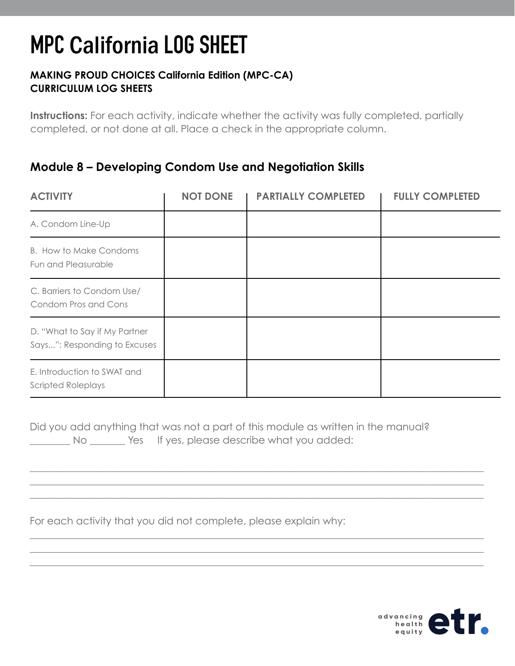### **MAKING PROUD CHOICES California Edition (MPC-CA) CURRICULUM LOG SHEETS**

**Instructions:** For each activity, indicate whether the activity was fully completed, partially completed, or not done at all. Place a check in the appropriate column.

## **Module 8 – Developing Condom Use and Negotiation Skills**

| <b>ACTIVITY</b>                                               | <b>NOT DONE</b> | <b>PARTIALLY COMPLETED</b> | <b>FULLY COMPLETED</b> |
|---------------------------------------------------------------|-----------------|----------------------------|------------------------|
| A. Condom Line-Up                                             |                 |                            |                        |
| <b>B.</b> How to Make Condoms<br>Fun and Pleasurable          |                 |                            |                        |
| C. Barriers to Condom Use/<br>Condom Pros and Cons            |                 |                            |                        |
| D. "What to Say if My Partner<br>Says": Responding to Excuses |                 |                            |                        |
| E. Introduction to SWAT and<br><b>Scripted Roleplays</b>      |                 |                            |                        |

Did you add anything that was not a part of this module as written in the manual? No Wes If yes, please describe what you added:

\_\_\_\_\_\_\_\_\_\_\_\_\_\_\_\_\_\_\_\_\_\_\_\_\_\_\_\_\_\_\_\_\_\_\_\_\_\_\_\_\_\_\_\_\_\_\_\_\_\_\_\_\_\_\_\_\_\_\_\_\_\_\_\_\_\_\_\_\_\_\_\_\_\_\_\_\_\_\_\_\_\_\_\_\_\_\_\_\_\_ \_\_\_\_\_\_\_\_\_\_\_\_\_\_\_\_\_\_\_\_\_\_\_\_\_\_\_\_\_\_\_\_\_\_\_\_\_\_\_\_\_\_\_\_\_\_\_\_\_\_\_\_\_\_\_\_\_\_\_\_\_\_\_\_\_\_\_\_\_\_\_\_\_\_\_\_\_\_\_\_\_\_\_\_\_\_\_\_\_\_ \_\_\_\_\_\_\_\_\_\_\_\_\_\_\_\_\_\_\_\_\_\_\_\_\_\_\_\_\_\_\_\_\_\_\_\_\_\_\_\_\_\_\_\_\_\_\_\_\_\_\_\_\_\_\_\_\_\_\_\_\_\_\_\_\_\_\_\_\_\_\_\_\_\_\_\_\_\_\_\_\_\_\_\_\_\_\_\_\_\_

\_\_\_\_\_\_\_\_\_\_\_\_\_\_\_\_\_\_\_\_\_\_\_\_\_\_\_\_\_\_\_\_\_\_\_\_\_\_\_\_\_\_\_\_\_\_\_\_\_\_\_\_\_\_\_\_\_\_\_\_\_\_\_\_\_\_\_\_\_\_\_\_\_\_\_\_\_\_\_\_\_\_\_\_\_\_\_\_\_\_ \_\_\_\_\_\_\_\_\_\_\_\_\_\_\_\_\_\_\_\_\_\_\_\_\_\_\_\_\_\_\_\_\_\_\_\_\_\_\_\_\_\_\_\_\_\_\_\_\_\_\_\_\_\_\_\_\_\_\_\_\_\_\_\_\_\_\_\_\_\_\_\_\_\_\_\_\_\_\_\_\_\_\_\_\_\_\_\_\_\_ \_\_\_\_\_\_\_\_\_\_\_\_\_\_\_\_\_\_\_\_\_\_\_\_\_\_\_\_\_\_\_\_\_\_\_\_\_\_\_\_\_\_\_\_\_\_\_\_\_\_\_\_\_\_\_\_\_\_\_\_\_\_\_\_\_\_\_\_\_\_\_\_\_\_\_\_\_\_\_\_\_\_\_\_\_\_\_\_\_\_